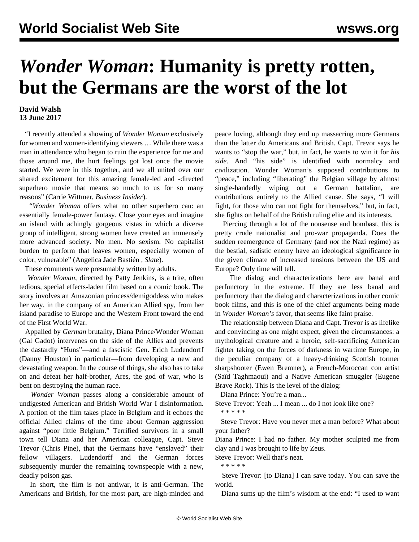## *Wonder Woman***: Humanity is pretty rotten, but the Germans are the worst of the lot**

## **David Walsh 13 June 2017**

 "I recently attended a showing of *Wonder Woman* exclusively for women and women-identifying viewers … While there was a man in attendance who began to ruin the experience for me and those around me, the hurt feelings got lost once the movie started. We were in this together, and we all united over our shared excitement for this amazing female-led and -directed superhero movie that means so much to us for so many reasons" (Carrie Wittmer, *Business Insider*).

 "*Wonder Woman* offers what no other superhero can: an essentially female-power fantasy. Close your eyes and imagine an island with achingly gorgeous vistas in which a diverse group of intelligent, strong women have created an immensely more advanced society. No men. No sexism. No capitalist burden to perform that leaves women, especially women of color, vulnerable" (Angelica Jade Bastién *, Slate*).

These comments were presumably written by adults.

 *Wonder Woman*, directed by Patty Jenkins, is a trite, often tedious, special effects-laden film based on a comic book. The story involves an Amazonian princess/demigoddess who makes her way, in the company of an American Allied spy, from her island paradise to Europe and the Western Front toward the end of the First World War.

 Appalled by *German* brutality, Diana Prince/Wonder Woman (Gal Gadot) intervenes on the side of the Allies and prevents the dastardly "Huns"—and a fascistic Gen. Erich Ludendorff (Danny Houston) in particular—from developing a new and devastating weapon. In the course of things, she also has to take on and defeat her half-brother, Ares, the god of war, who is bent on destroying the human race.

 *Wonder Woman* passes along a considerable amount of undigested American and British World War I disinformation. A portion of the film takes place in Belgium and it echoes the official Allied claims of the time about German aggression against "poor little Belgium." Terrified survivors in a small town tell Diana and her American colleague, Capt. Steve Trevor (Chris Pine), that the Germans have "enslaved" their fellow villagers. Ludendorff and the German forces subsequently murder the remaining townspeople with a new, deadly poison gas.

 In short, the film is not antiwar, it is anti-German. The Americans and British, for the most part, are high-minded and peace loving, although they end up massacring more Germans than the latter do Americans and British. Capt. Trevor says he wants to "stop the war," but, in fact, he wants to win it for *his side*. And "his side" is identified with normalcy and civilization. Wonder Woman's supposed contributions to "peace," including "liberating" the Belgian village by almost single-handedly wiping out a German battalion, are contributions entirely to the Allied cause. She says, "I will fight, for those who can not fight for themselves," but, in fact, she fights on behalf of the British ruling elite and its interests.

 Piercing through a lot of the nonsense and bombast, this is pretty crude nationalist and pro-war propaganda. Does the sudden reemergence of Germany (and *not* the Nazi regime) as the bestial, sadistic enemy have an ideological significance in the given climate of increased tensions between the US and Europe? Only time will tell.

 The dialog and characterizations here are banal and perfunctory in the extreme. If they are less banal and perfunctory than the dialog and characterizations in other comic book films, and this is one of the chief arguments being made in *Wonder Woman's* favor, that seems like faint praise.

 The relationship between Diana and Capt. Trevor is as lifelike and convincing as one might expect, given the circumstances: a mythological creature and a heroic, self-sacrificing American fighter taking on the forces of darkness in wartime Europe, in the peculiar company of a heavy-drinking Scottish former sharpshooter (Ewen Bremner), a French-Moroccan con artist (Saïd Taghmaoui) and a Native American smuggler (Eugene Brave Rock). This is the level of the dialog:

Diana Prince: You're a man...

Steve Trevor: Yeah ... I mean ... do I not look like one? \* \* \* \* \*

 Steve Trevor: Have you never met a man before? What about your father?

Diana Prince: I had no father. My mother sculpted me from clay and I was brought to life by Zeus.

Steve Trevor: Well that's neat.

\* \* \* \* \*

 Steve Trevor: [to Diana] I can save today. You can save the world.

Diana sums up the film's wisdom at the end: "I used to want